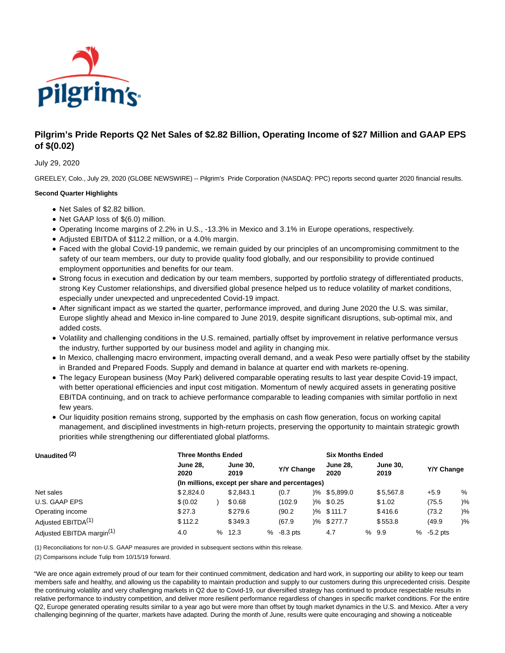

# **Pilgrim's Pride Reports Q2 Net Sales of \$2.82 Billion, Operating Income of \$27 Million and GAAP EPS of \$(0.02)**

### July 29, 2020

GREELEY, Colo., July 29, 2020 (GLOBE NEWSWIRE) -- Pilgrim's Pride Corporation (NASDAQ: PPC) reports second quarter 2020 financial results.

### **Second Quarter Highlights**

- Net Sales of \$2.82 billion.
- Net GAAP loss of \$(6.0) million.
- Operating Income margins of 2.2% in U.S., -13.3% in Mexico and 3.1% in Europe operations, respectively.
- Adjusted EBITDA of \$112.2 million, or a 4.0% margin.
- Faced with the global Covid-19 pandemic, we remain guided by our principles of an uncompromising commitment to the safety of our team members, our duty to provide quality food globally, and our responsibility to provide continued employment opportunities and benefits for our team.
- Strong focus in execution and dedication by our team members, supported by portfolio strategy of differentiated products, strong Key Customer relationships, and diversified global presence helped us to reduce volatility of market conditions, especially under unexpected and unprecedented Covid-19 impact.
- After significant impact as we started the quarter, performance improved, and during June 2020 the U.S. was similar, Europe slightly ahead and Mexico in-line compared to June 2019, despite significant disruptions, sub-optimal mix, and added costs.
- Volatility and challenging conditions in the U.S. remained, partially offset by improvement in relative performance versus the industry, further supported by our business model and agility in changing mix.
- In Mexico, challenging macro environment, impacting overall demand, and a weak Peso were partially offset by the stability in Branded and Prepared Foods. Supply and demand in balance at quarter end with markets re-opening.
- The legacy European business (Moy Park) delivered comparable operating results to last year despite Covid-19 impact, with better operational efficiencies and input cost mitigation. Momentum of newly acquired assets in generating positive EBITDA continuing, and on track to achieve performance comparable to leading companies with similar portfolio in next few years.
- Our liquidity position remains strong, supported by the emphasis on cash flow generation, focus on working capital management, and disciplined investments in high-return projects, preserving the opportunity to maintain strategic growth priorities while strengthening our differentiated global platforms.

| Unaudited (2)                         | <b>Three Months Ended</b> |                                                 |                         |  | <b>Six Months Ended</b> |  |                         |   |                         |  |              |               |  |
|---------------------------------------|---------------------------|-------------------------------------------------|-------------------------|--|-------------------------|--|-------------------------|---|-------------------------|--|--------------|---------------|--|
|                                       | <b>June 28.</b><br>2020   |                                                 | <b>June 30.</b><br>2019 |  | Y/Y Change              |  | <b>June 28.</b><br>2020 |   | <b>June 30.</b><br>2019 |  | Y/Y Change   |               |  |
|                                       |                           | (In millions, except per share and percentages) |                         |  |                         |  |                         |   |                         |  |              |               |  |
| Net sales                             | \$2.824.0                 |                                                 | \$2.843.1               |  | (0.7                    |  | $\frac{1}{6}$ \$5,899.0 |   | \$5,567.8               |  | $+5.9$       | %             |  |
| U.S. GAAP EPS                         | \$ (0.02)                 |                                                 | \$0.68                  |  | (102.9)                 |  | $\frac{1}{6}$ \$ 0.25   |   | \$1.02                  |  | (75.5)       | $\frac{9}{6}$ |  |
| Operating income                      | \$27.3                    |                                                 | \$279.6                 |  | (90.2)                  |  | $\frac{9}{6}$ \$111.7   |   | \$416.6                 |  | (73.2)       | $\frac{9}{6}$ |  |
| Adjusted EBITDA <sup>(1)</sup>        | \$112.2                   |                                                 | \$349.3                 |  | (67.9)                  |  | )% \$277.7              |   | \$553.8                 |  | (49.9)       | $\frac{9}{6}$ |  |
| Adjusted EBITDA margin <sup>(1)</sup> | 4.0                       | %                                               | 12.3                    |  | $% -8.3$ pts            |  | 4.7                     | % | 9.9                     |  | $% -5.2$ pts |               |  |

(1) Reconciliations for non-U.S. GAAP measures are provided in subsequent sections within this release.

(2) Comparisons include Tulip from 10/15/19 forward.

"We are once again extremely proud of our team for their continued commitment, dedication and hard work, in supporting our ability to keep our team members safe and healthy, and allowing us the capability to maintain production and supply to our customers during this unprecedented crisis. Despite the continuing volatility and very challenging markets in Q2 due to Covid-19, our diversified strategy has continued to produce respectable results in relative performance to industry competition, and deliver more resilient performance regardless of changes in specific market conditions. For the entire Q2, Europe generated operating results similar to a year ago but were more than offset by tough market dynamics in the U.S. and Mexico. After a very challenging beginning of the quarter, markets have adapted. During the month of June, results were quite encouraging and showing a noticeable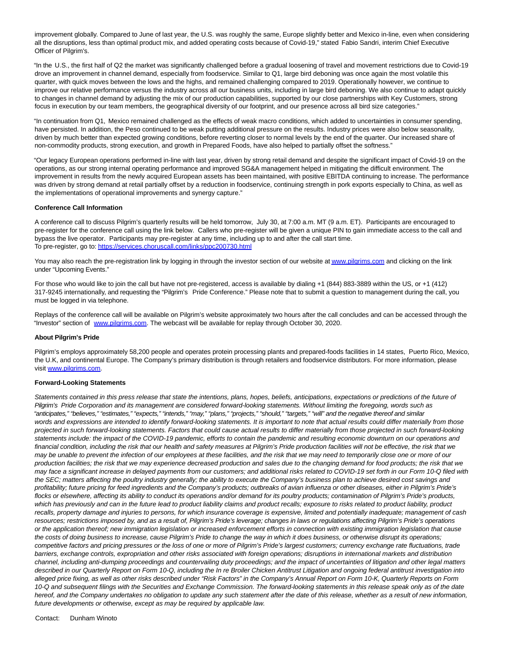improvement globally. Compared to June of last year, the U.S. was roughly the same, Europe slightly better and Mexico in-line, even when considering all the disruptions, less than optimal product mix, and added operating costs because of Covid-19," stated Fabio Sandri, interim Chief Executive Officer of Pilgrim's.

"In the U.S., the first half of Q2 the market was significantly challenged before a gradual loosening of travel and movement restrictions due to Covid-19 drove an improvement in channel demand, especially from foodservice. Similar to Q1, large bird deboning was once again the most volatile this quarter, with quick moves between the lows and the highs, and remained challenging compared to 2019. Operationally however, we continue to improve our relative performance versus the industry across all our business units, including in large bird deboning. We also continue to adapt quickly to changes in channel demand by adjusting the mix of our production capabilities, supported by our close partnerships with Key Customers, strong focus in execution by our team members, the geographical diversity of our footprint, and our presence across all bird size categories."

"In continuation from Q1, Mexico remained challenged as the effects of weak macro conditions, which added to uncertainties in consumer spending, have persisted. In addition, the Peso continued to be weak putting additional pressure on the results. Industry prices were also below seasonality, driven by much better than expected growing conditions, before reverting closer to normal levels by the end of the quarter. Our increased share of non-commodity products, strong execution, and growth in Prepared Foods, have also helped to partially offset the softness."

"Our legacy European operations performed in-line with last year, driven by strong retail demand and despite the significant impact of Covid-19 on the operations, as our strong internal operating performance and improved SG&A management helped in mitigating the difficult environment. The improvement in results from the newly acquired European assets has been maintained, with positive EBITDA continuing to increase. The performance was driven by strong demand at retail partially offset by a reduction in foodservice, continuing strength in pork exports especially to China, as well as the implementations of operational improvements and synergy capture."

#### **Conference Call Information**

A conference call to discuss Pilgrim's quarterly results will be held tomorrow, July 30, at 7:00 a.m. MT (9 a.m. ET). Participants are encouraged to pre-register for the conference call using the link below. Callers who pre-register will be given a unique PIN to gain immediate access to the call and bypass the live operator. Participants may pre-register at any time, including up to and after the call start time. To pre-register, go to: [https://services.choruscall.com/links/ppc200730.html](https://www.globenewswire.com/Tracker?data=H4H0AjbDObjn1ZNTkp59FJYTTMYo4055lOd_fkA6bEz6tRx_9MJfIt4yA2nfeRcH5ZASh4cafJSzUzlUTcSvgfrCm47mpGCwDGjN3l_UB97fAHG2kqvzmDUE3IJxZMJZ3bf7MmbdXl9fENanzNPDTufMAB-gna5C0i6q54J-7vA=)

You may also reach the pre-registration link by logging in through the investor section of our website a[t www.pilgrims.com a](https://www.globenewswire.com/Tracker?data=VAImbNNsv5EFDpheutSS9y1umT8I9sI2wSpDihoGZ0Ofnfofy5tNLvBdRkQN3RMOWFiWR1sj0N2tD4vqDkBj6g==)nd clicking on the link under "Upcoming Events."

For those who would like to join the call but have not pre-registered, access is available by dialing +1 (844) 883-3889 within the US, or +1 (412) 317-9245 internationally, and requesting the "Pilgrim's Pride Conference." Please note that to submit a question to management during the call, you must be logged in via telephone.

Replays of the conference call will be available on Pilgrim's website approximately two hours after the call concludes and can be accessed through the "Investor" section of [www.pilgrims.com.](https://www.globenewswire.com/Tracker?data=VAImbNNsv5EFDpheutSS91fAlF-pNEKQKDAHGrsEWu1QZAb4CIFfWVC61n2u0JqlZNX-28UJwZCWcV-J49wAYg==) The webcast will be available for replay through October 30, 2020.

#### **About Pilgrim's Pride**

Pilgrim's employs approximately 58,200 people and operates protein processing plants and prepared-foods facilities in 14 states, Puerto Rico, Mexico, the U.K, and continental Europe. The Company's primary distribution is through retailers and foodservice distributors. For more information, please visit [www.pilgrims.com.](https://www.globenewswire.com/Tracker?data=VAImbNNsv5EFDpheutSS97secDsRAKcZi-LSraxe7_JiaA10urXSRbdvLX9Oyp05usaLzrkeclvVT66U9v9xyw==)

#### **Forward-Looking Statements**

Statements contained in this press release that state the intentions, plans, hopes, beliefs, anticipations, expectations or predictions of the future of Pilgrim's Pride Corporation and its management are considered forward-looking statements. Without limiting the foregoing, words such as "anticipates," "believes," "estimates," "expects," "intends," "may," "plans," "projects," "should," "targets," "will" and the negative thereof and similar words and expressions are intended to identify forward-looking statements. It is important to note that actual results could differ materially from those projected in such forward-looking statements. Factors that could cause actual results to differ materially from those projected in such forward-looking statements include: the impact of the COVID-19 pandemic, efforts to contain the pandemic and resulting economic downturn on our operations and financial condition, including the risk that our health and safety measures at Pilgrim's Pride production facilities will not be effective, the risk that we may be unable to prevent the infection of our employees at these facilities, and the risk that we may need to temporarily close one or more of our production facilities; the risk that we may experience decreased production and sales due to the changing demand for food products; the risk that we may face a significant increase in delayed payments from our customers; and additional risks related to COVID-19 set forth in our Form 10-Q filed with the SEC; matters affecting the poultry industry generally; the ability to execute the Company's business plan to achieve desired cost savings and profitability; future pricing for feed ingredients and the Company's products; outbreaks of avian influenza or other diseases, either in Pilgrim's Pride's flocks or elsewhere, affecting its ability to conduct its operations and/or demand for its poultry products; contamination of Pilgrim's Pride's products, which has previously and can in the future lead to product liability claims and product recalls; exposure to risks related to product liability, product recalls, property damage and injuries to persons, for which insurance coverage is expensive, limited and potentially inadequate; management of cash resources; restrictions imposed by, and as a result of, Pilgrim's Pride's leverage; changes in laws or regulations affecting Pilgrim's Pride's operations or the application thereof; new immigration legislation or increased enforcement efforts in connection with existing immigration legislation that cause the costs of doing business to increase, cause Pilgrim's Pride to change the way in which it does business, or otherwise disrupt its operations; competitive factors and pricing pressures or the loss of one or more of Pilgrim's Pride's largest customers; currency exchange rate fluctuations, trade barriers, exchange controls, expropriation and other risks associated with foreign operations; disruptions in international markets and distribution channel, including anti-dumping proceedings and countervailing duty proceedings; and the impact of uncertainties of litigation and other legal matters described in our Quarterly Report on Form 10-Q, including the In re Broiler Chicken Antitrust Litigation and ongoing federal antitrust investigation into alleged price fixing, as well as other risks described under "Risk Factors" in the Company's Annual Report on Form 10-K, Quarterly Reports on Form 10-Q and subsequent filings with the Securities and Exchange Commission. The forward-looking statements in this release speak only as of the date hereof, and the Company undertakes no obligation to update any such statement after the date of this release, whether as a result of new information, future developments or otherwise, except as may be required by applicable law.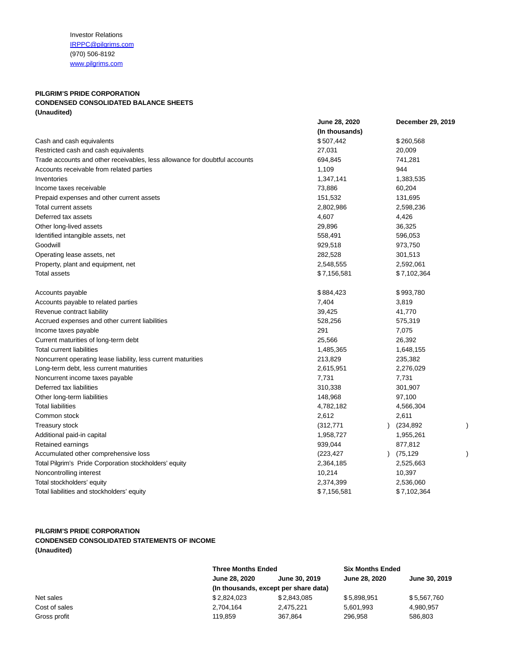Investor Relations [IRPPC@pilgrims.com](mailto:IRPPC@pilgrims.com) (970) 506-8192 [www.pilgrims.com](http://www.pilgrims.com/)

## **PILGRIM'S PRIDE CORPORATION CONDENSED CONSOLIDATED BALANCE SHEETS (Unaudited)**

|                                                                            | June 28, 2020  |               | December 29, 2019 |  |
|----------------------------------------------------------------------------|----------------|---------------|-------------------|--|
|                                                                            | (In thousands) |               |                   |  |
| Cash and cash equivalents                                                  | \$507,442      |               | \$260,568         |  |
| Restricted cash and cash equivalents                                       | 27,031         |               | 20,009            |  |
| Trade accounts and other receivables, less allowance for doubtful accounts | 694,845        |               | 741,281           |  |
| Accounts receivable from related parties                                   | 1,109          |               | 944               |  |
| Inventories                                                                | 1,347,141      |               | 1,383,535         |  |
| Income taxes receivable                                                    | 73,886         |               | 60,204            |  |
| Prepaid expenses and other current assets                                  | 151,532        |               | 131,695           |  |
| Total current assets                                                       | 2,802,986      |               | 2,598,236         |  |
| Deferred tax assets                                                        | 4,607          |               | 4,426             |  |
| Other long-lived assets                                                    | 29,896         |               | 36,325            |  |
| Identified intangible assets, net                                          | 558,491        |               | 596,053           |  |
| Goodwill                                                                   | 929,518        |               | 973,750           |  |
| Operating lease assets, net                                                | 282,528        |               | 301,513           |  |
| Property, plant and equipment, net                                         | 2,548,555      |               | 2,592,061         |  |
| <b>Total assets</b>                                                        | \$7,156,581    |               | \$7,102,364       |  |
| Accounts payable                                                           | \$884,423      |               | \$993,780         |  |
| Accounts payable to related parties                                        | 7,404          |               | 3,819             |  |
| Revenue contract liability                                                 | 39,425         |               | 41,770            |  |
| Accrued expenses and other current liabilities                             | 528,256        |               | 575,319           |  |
| Income taxes payable                                                       | 291            |               | 7,075             |  |
| Current maturities of long-term debt                                       | 25,566         |               | 26,392            |  |
| <b>Total current liabilities</b>                                           | 1,485,365      |               | 1,648,155         |  |
| Noncurrent operating lease liability, less current maturities              | 213,829        |               | 235,382           |  |
| Long-term debt, less current maturities                                    | 2,615,951      |               | 2,276,029         |  |
| Noncurrent income taxes payable                                            | 7,731          |               | 7,731             |  |
| Deferred tax liabilities                                                   | 310,338        |               | 301,907           |  |
| Other long-term liabilities                                                | 148,968        |               | 97,100            |  |
| <b>Total liabilities</b>                                                   | 4,782,182      |               | 4,566,304         |  |
| Common stock                                                               | 2,612          |               | 2,611             |  |
| <b>Treasury stock</b>                                                      | (312, 771)     | $\mathcal{L}$ | (234, 892)        |  |
| Additional paid-in capital                                                 | 1,958,727      |               | 1,955,261         |  |
| Retained earnings                                                          | 939,044        |               | 877,812           |  |
| Accumulated other comprehensive loss                                       | (223, 427)     | $\mathcal{L}$ | (75,129           |  |
| Total Pilgrim's Pride Corporation stockholders' equity                     | 2,364,185      |               | 2,525,663         |  |
| Noncontrolling interest                                                    | 10,214         |               | 10,397            |  |
| Total stockholders' equity                                                 | 2,374,399      |               | 2,536,060         |  |
| Total liabilities and stockholders' equity                                 | \$7,156,581    |               | \$7,102,364       |  |

## **PILGRIM'S PRIDE CORPORATION CONDENSED CONSOLIDATED STATEMENTS OF INCOME (Unaudited)**

|               | <b>Three Months Ended</b>             |                                | <b>Six Months Ended</b> |               |  |  |
|---------------|---------------------------------------|--------------------------------|-------------------------|---------------|--|--|
|               | <b>June 28, 2020</b>                  | June 30, 2019<br>June 28, 2020 |                         | June 30, 2019 |  |  |
|               | (In thousands, except per share data) |                                |                         |               |  |  |
| Net sales     | \$2,824,023                           | \$2.843.085                    | \$5.898.951             | \$5,567,760   |  |  |
| Cost of sales | 2,704,164                             | 2,475,221                      | 5,601,993               | 4.980.957     |  |  |
| Gross profit  | 119.859                               | 367.864                        | 296.958                 | 586,803       |  |  |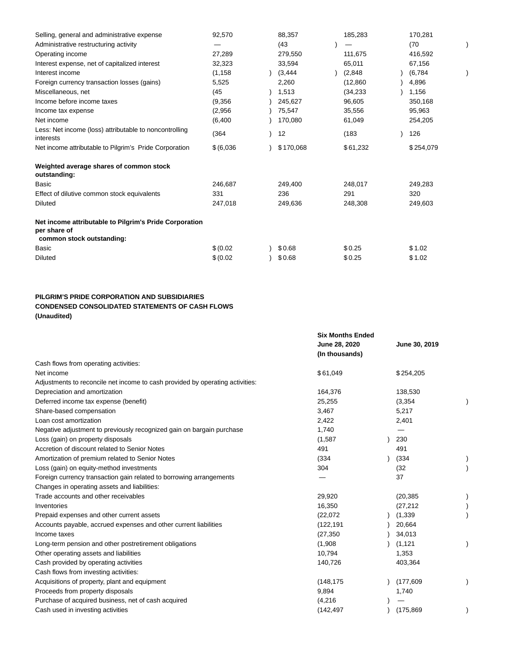| Selling, general and administrative expense                                                         | 92,570     | 88,357    | 185,283   | 170,281   |  |
|-----------------------------------------------------------------------------------------------------|------------|-----------|-----------|-----------|--|
| Administrative restructuring activity                                                               |            | (43)      |           | (70)      |  |
| Operating income                                                                                    | 27,289     | 279,550   | 111,675   | 416,592   |  |
| Interest expense, net of capitalized interest                                                       | 32,323     | 33,594    | 65,011    | 67,156    |  |
| Interest income                                                                                     | (1, 158)   | (3, 444)  | (2,848)   | (6,784)   |  |
| Foreign currency transaction losses (gains)                                                         | 5,525      | 2,260     | (12, 860) | 4,896     |  |
| Miscellaneous, net                                                                                  | (45        | 1,513     | (34, 233) | 1,156     |  |
| Income before income taxes                                                                          | (9,356)    | 245,627   | 96,605    | 350,168   |  |
| Income tax expense                                                                                  | (2,956)    | 75,547    | 35,556    | 95,963    |  |
| Net income                                                                                          | (6, 400)   | 170,080   | 61,049    | 254,205   |  |
| Less: Net income (loss) attributable to noncontrolling<br>interests                                 | (364)      | 12        | (183)     | 126       |  |
| Net income attributable to Pilgrim's Pride Corporation                                              | \$ (6,036) | \$170,068 | \$61,232  | \$254,079 |  |
| Weighted average shares of common stock<br>outstanding:                                             |            |           |           |           |  |
| Basic                                                                                               | 246,687    | 249,400   | 248,017   | 249,283   |  |
| Effect of dilutive common stock equivalents                                                         | 331        | 236       | 291       | 320       |  |
| <b>Diluted</b>                                                                                      | 247,018    | 249,636   | 248,308   | 249,603   |  |
| Net income attributable to Pilgrim's Pride Corporation<br>per share of<br>common stock outstanding: |            |           |           |           |  |
| Basic                                                                                               | \$ (0.02)  | \$0.68    | \$0.25    | \$1.02    |  |
| <b>Diluted</b>                                                                                      | \$ (0.02)  | \$0.68    | \$0.25    | \$1.02    |  |
|                                                                                                     |            |           |           |           |  |

## **PILGRIM'S PRIDE CORPORATION AND SUBSIDIARIES CONDENSED CONSOLIDATED STATEMENTS OF CASH FLOWS (Unaudited)**

|                                                                               | <b>Six Months Ended</b><br>June 28, 2020<br>(In thousands) | June 30, 2019 |  |
|-------------------------------------------------------------------------------|------------------------------------------------------------|---------------|--|
| Cash flows from operating activities:                                         |                                                            |               |  |
| Net income                                                                    | \$61,049                                                   | \$254,205     |  |
| Adjustments to reconcile net income to cash provided by operating activities: |                                                            |               |  |
| Depreciation and amortization                                                 | 164,376                                                    | 138,530       |  |
| Deferred income tax expense (benefit)                                         | 25,255                                                     | (3, 354)      |  |
| Share-based compensation                                                      | 3,467                                                      | 5,217         |  |
| Loan cost amortization                                                        | 2,422                                                      | 2,401         |  |
| Negative adjustment to previously recognized gain on bargain purchase         | 1,740                                                      |               |  |
| Loss (gain) on property disposals                                             | (1,587)                                                    | 230           |  |
| Accretion of discount related to Senior Notes                                 | 491                                                        | 491           |  |
| Amortization of premium related to Senior Notes                               | (334)                                                      | (334)         |  |
| Loss (gain) on equity-method investments                                      | 304                                                        | (32)          |  |
| Foreign currency transaction gain related to borrowing arrangements           |                                                            | 37            |  |
| Changes in operating assets and liabilities:                                  |                                                            |               |  |
| Trade accounts and other receivables                                          | 29,920                                                     | (20, 385)     |  |
| Inventories                                                                   | 16,350                                                     | (27, 212)     |  |
| Prepaid expenses and other current assets                                     | (22,072)                                                   | (1, 339)      |  |
| Accounts payable, accrued expenses and other current liabilities              | (122, 191)                                                 | 20,664        |  |
| Income taxes                                                                  | (27, 350)                                                  | 34,013        |  |
| Long-term pension and other postretirement obligations                        | (1,908)                                                    | (1, 121)      |  |
| Other operating assets and liabilities                                        | 10,794                                                     | 1,353         |  |
| Cash provided by operating activities                                         | 140,726                                                    | 403,364       |  |
| Cash flows from investing activities:                                         |                                                            |               |  |
| Acquisitions of property, plant and equipment                                 | (148, 175)                                                 | (177, 609)    |  |
| Proceeds from property disposals                                              | 9,894                                                      | 1,740         |  |
| Purchase of acquired business, net of cash acquired                           | (4,216)                                                    |               |  |
| Cash used in investing activities                                             | (142, 497)                                                 | (175, 869)    |  |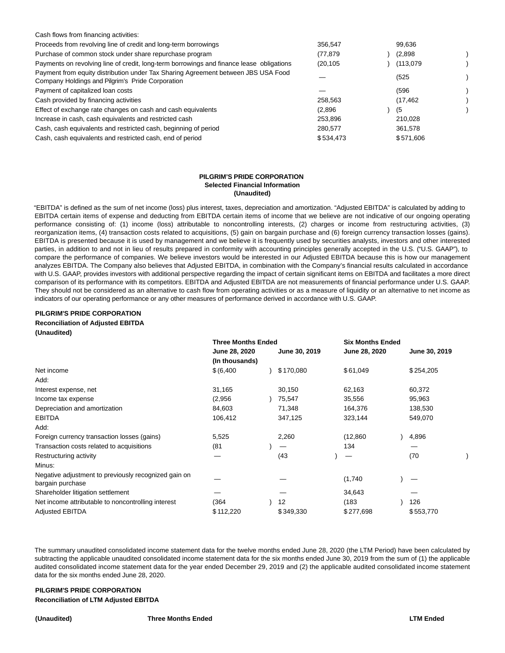| Cash flows from financing activities:                                                                                                 |           |           |  |
|---------------------------------------------------------------------------------------------------------------------------------------|-----------|-----------|--|
| Proceeds from revolving line of credit and long-term borrowings                                                                       | 356.547   | 99.636    |  |
| Purchase of common stock under share repurchase program                                                                               | (77.879   | (2,898)   |  |
| Payments on revolving line of credit, long-term borrowings and finance lease obligations                                              | (20.105)  | (113,079) |  |
| Payment from equity distribution under Tax Sharing Agreement between JBS USA Food<br>Company Holdings and Pilgrim's Pride Corporation |           | (525)     |  |
| Payment of capitalized loan costs                                                                                                     |           | (596)     |  |
| Cash provided by financing activities                                                                                                 | 258.563   | (17, 462) |  |
| Effect of exchange rate changes on cash and cash equivalents                                                                          | (2,896)   | (5        |  |
| Increase in cash, cash equivalents and restricted cash                                                                                | 253.896   | 210.028   |  |
| Cash, cash equivalents and restricted cash, beginning of period                                                                       | 280.577   | 361.578   |  |
| Cash, cash equivalents and restricted cash, end of period                                                                             | \$534.473 | \$571,606 |  |

#### **PILGRIM'S PRIDE CORPORATION Selected Financial Information (Unaudited)**

"EBITDA" is defined as the sum of net income (loss) plus interest, taxes, depreciation and amortization. "Adjusted EBITDA" is calculated by adding to EBITDA certain items of expense and deducting from EBITDA certain items of income that we believe are not indicative of our ongoing operating performance consisting of: (1) income (loss) attributable to noncontrolling interests, (2) charges or income from restructuring activities, (3) reorganization items, (4) transaction costs related to acquisitions, (5) gain on bargain purchase and (6) foreign currency transaction losses (gains). EBITDA is presented because it is used by management and we believe it is frequently used by securities analysts, investors and other interested parties, in addition to and not in lieu of results prepared in conformity with accounting principles generally accepted in the U.S. ("U.S. GAAP"), to compare the performance of companies. We believe investors would be interested in our Adjusted EBITDA because this is how our management analyzes EBITDA. The Company also believes that Adjusted EBITDA, in combination with the Company's financial results calculated in accordance with U.S. GAAP, provides investors with additional perspective regarding the impact of certain significant items on EBITDA and facilitates a more direct comparison of its performance with its competitors. EBITDA and Adjusted EBITDA are not measurements of financial performance under U.S. GAAP. They should not be considered as an alternative to cash flow from operating activities or as a measure of liquidity or an alternative to net income as indicators of our operating performance or any other measures of performance derived in accordance with U.S. GAAP.

### **PILGRIM'S PRIDE CORPORATION Reconciliation of Adjusted EBITDA (Unaudited)**

|                                                                          | <b>Three Months Ended</b> |  |               | <b>Six Months Ended</b> |               |  |               |  |
|--------------------------------------------------------------------------|---------------------------|--|---------------|-------------------------|---------------|--|---------------|--|
|                                                                          | June 28, 2020             |  | June 30, 2019 |                         | June 28, 2020 |  | June 30, 2019 |  |
|                                                                          | (In thousands)            |  |               |                         |               |  |               |  |
| Net income                                                               | \$ (6,400)                |  | \$170,080     |                         | \$61,049      |  | \$254,205     |  |
| Add:                                                                     |                           |  |               |                         |               |  |               |  |
| Interest expense, net                                                    | 31,165                    |  | 30,150        |                         | 62,163        |  | 60,372        |  |
| Income tax expense                                                       | (2,956)                   |  | 75,547        |                         | 35,556        |  | 95,963        |  |
| Depreciation and amortization                                            | 84,603                    |  | 71,348        |                         | 164,376       |  | 138,530       |  |
| <b>EBITDA</b>                                                            | 106,412                   |  | 347,125       |                         | 323,144       |  | 549,070       |  |
| Add:                                                                     |                           |  |               |                         |               |  |               |  |
| Foreign currency transaction losses (gains)                              | 5,525                     |  | 2,260         |                         | (12, 860)     |  | 4,896         |  |
| Transaction costs related to acquisitions                                | (81)                      |  |               |                         | 134           |  |               |  |
| Restructuring activity                                                   |                           |  | (43           |                         |               |  | (70)          |  |
| Minus:                                                                   |                           |  |               |                         |               |  |               |  |
| Negative adjustment to previously recognized gain on<br>bargain purchase |                           |  |               |                         | (1,740)       |  |               |  |
| Shareholder litigation settlement                                        |                           |  |               |                         | 34,643        |  |               |  |
| Net income attributable to noncontrolling interest                       | (364                      |  | 12            |                         | (183)         |  | 126           |  |
| <b>Adjusted EBITDA</b>                                                   | \$112,220                 |  | \$349,330     |                         | \$277,698     |  | \$553,770     |  |

The summary unaudited consolidated income statement data for the twelve months ended June 28, 2020 (the LTM Period) have been calculated by subtracting the applicable unaudited consolidated income statement data for the six months ended June 30, 2019 from the sum of (1) the applicable audited consolidated income statement data for the year ended December 29, 2019 and (2) the applicable audited consolidated income statement data for the six months ended June 28, 2020.

## **PILGRIM'S PRIDE CORPORATION Reconciliation of LTM Adjusted EBITDA**

#### **(Unaudited) Three Months Ended LTM Ended**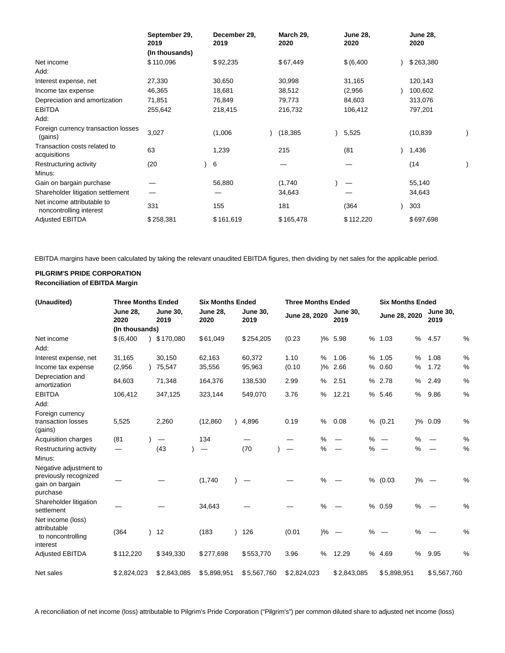|                                                       | September 29,<br>2019 | December 29,<br>2019 | March 29,<br>2020 | <b>June 28,</b><br>2020 | <b>June 28,</b><br>2020 |  |
|-------------------------------------------------------|-----------------------|----------------------|-------------------|-------------------------|-------------------------|--|
|                                                       | (In thousands)        |                      |                   |                         |                         |  |
| Net income                                            | \$110,096             | \$92,235             | \$67,449          | \$ (6,400)              | \$263,380               |  |
| Add:                                                  |                       |                      |                   |                         |                         |  |
| Interest expense, net                                 | 27,330                | 30,650               | 30,998            | 31,165                  | 120,143                 |  |
| Income tax expense                                    | 46,365                | 18,681               | 38,512            | (2,956)                 | 100,602                 |  |
| Depreciation and amortization                         | 71,851                | 76,849               | 79,773            | 84,603                  | 313,076                 |  |
| <b>EBITDA</b>                                         | 255,642               | 218,415              | 216,732           | 106,412                 | 797,201                 |  |
| Add:                                                  |                       |                      |                   |                         |                         |  |
| Foreign currency transaction losses<br>(gains)        | 3,027                 | (1,006)              | (18, 385)         | 5,525                   | (10, 839)               |  |
| Transaction costs related to<br>acquisitions          | 63                    | 1,239                | 215               | (81)                    | 1,436                   |  |
| Restructuring activity                                | (20)                  | 6                    |                   |                         | (14                     |  |
| Minus:                                                |                       |                      |                   |                         |                         |  |
| Gain on bargain purchase                              |                       | 56,880               | (1,740)           |                         | 55,140                  |  |
| Shareholder litigation settlement                     |                       |                      | 34,643            |                         | 34,643                  |  |
| Net income attributable to<br>noncontrolling interest | 331                   | 155                  | 181               | (364)                   | 303                     |  |
| <b>Adjusted EBITDA</b>                                | \$258,381             | \$161,619            | \$165,478         | \$112,220               | \$697,698               |  |

EBITDA margins have been calculated by taking the relevant unaudited EBITDA figures, then dividing by net sales for the applicable period.

## **PILGRIM'S PRIDE CORPORATION Reconciliation of EBITDA Margin**

| (Unaudited)                                                                    |                         | <b>Three Months Ended</b> |                         | <b>Six Months Ended</b> |                         |  | <b>Three Months Ended</b> |  |                                 |               | <b>Six Months Ended</b> |   |               |               |                               |               |
|--------------------------------------------------------------------------------|-------------------------|---------------------------|-------------------------|-------------------------|-------------------------|--|---------------------------|--|---------------------------------|---------------|-------------------------|---|---------------|---------------|-------------------------------|---------------|
|                                                                                | <b>June 28,</b><br>2020 |                           | <b>June 30,</b><br>2019 |                         | <b>June 28,</b><br>2020 |  | <b>June 30,</b><br>2019   |  | June 28, 2020                   |               | <b>June 30,</b><br>2019 |   | June 28, 2020 |               | <b>June 30,</b><br>2019       |               |
|                                                                                | (In thousands)          |                           |                         |                         |                         |  |                           |  |                                 |               |                         |   |               |               |                               |               |
| Net income<br>Add:                                                             | \$ (6,400)              |                           | \$170,080               |                         | \$61,049                |  | \$254,205                 |  | (0.23)                          |               | )% 5.98                 | % | 1.03          | %             | 4.57                          | %             |
| Interest expense, net                                                          | 31,165                  |                           | 30,150                  |                         | 62,163                  |  | 60,372                    |  | 1.10                            | %             | 1.06                    | % | 1.05          | $\%$          | 1.08                          | %             |
| Income tax expense                                                             | (2,956)                 |                           | 75,547                  |                         | 35,556                  |  | 95,963                    |  | (0.10)                          | $\frac{9}{6}$ | 2.66                    | % | 0.60          | %             | 1.72                          | %             |
| Depreciation and<br>amortization                                               | 84,603                  |                           | 71,348                  |                         | 164,376                 |  | 138,530                   |  | 2.99                            | %             | 2.51                    | % | 2.78          | %             | 2.49                          | %             |
| <b>EBITDA</b><br>Add:                                                          | 106,412                 |                           | 347,125                 |                         | 323,144                 |  | 549,070                   |  | 3.76                            | %             | 12.21                   | % | 5.46          | %             | 9.86                          | %             |
| Foreign currency<br>transaction losses<br>(gains)                              | 5,525                   |                           | 2,260                   |                         | (12, 860)               |  | 4,896                     |  | 0.19                            | %             | 0.08                    |   | % (0.21)      |               | )% 0.09                       | %             |
| Acquisition charges                                                            | (81)                    |                           | —                       |                         | 134                     |  |                           |  |                                 | %             |                         | % |               | %             |                               | %             |
| Restructuring activity<br>Minus:                                               |                         |                           | (43)                    |                         | —                       |  | (70)                      |  | $\hspace{0.1mm}-\hspace{0.1mm}$ | %             | $\hspace{0.05cm}$       | % |               | %             |                               | $\%$          |
| Negative adjustment to<br>previously recognized<br>gain on bargain<br>purchase |                         |                           |                         |                         | (1,740)                 |  |                           |  |                                 | $\frac{0}{0}$ |                         | % | (0.03)        | $\frac{9}{6}$ | $\overbrace{\phantom{12333}}$ | %             |
| Shareholder litigation<br>settlement                                           |                         |                           |                         |                         | 34,643                  |  |                           |  |                                 | %             |                         |   | % 0.59        | %             |                               | %             |
| Net income (loss)<br>attributable<br>to noncontrolling<br>interest             | (364)                   |                           | 12                      |                         | (183)                   |  | 126                       |  | (0.01)                          | $\frac{9}{6}$ | $\hspace{0.1mm}$        | % |               | %             |                               | $\frac{0}{0}$ |
| <b>Adjusted EBITDA</b>                                                         | \$112,220               |                           | \$349,330               |                         | \$277,698               |  | \$553,770                 |  | 3.96                            | %             | 12.29                   | % | 4.69          | %             | 9.95                          | %             |
| Net sales                                                                      | \$2,824,023             |                           | \$2,843,085             |                         | \$5,898,951             |  | \$5,567,760               |  | \$2,824,023                     |               | \$2,843,085             |   | \$5,898,951   |               | \$5,567,760                   |               |

A reconciliation of net income (loss) attributable to Pilgrim's Pride Corporation ("Pilgrim's") per common diluted share to adjusted net income (loss)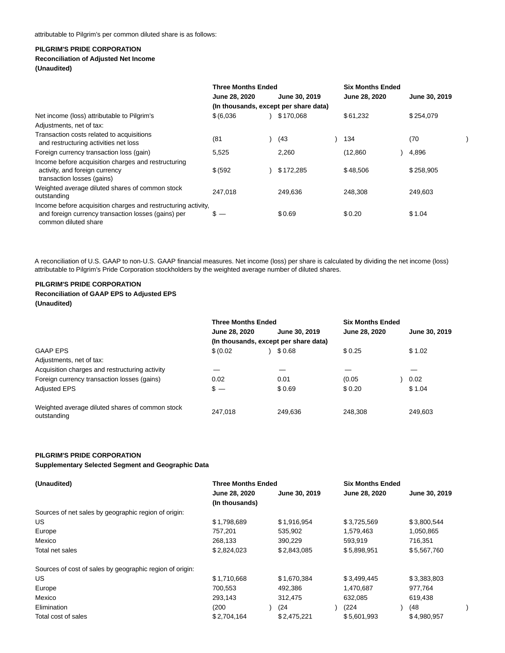### **PILGRIM'S PRIDE CORPORATION**

## **Reconciliation of Adjusted Net Income**

**(Unaudited)**

|                                                                                                                                              | <b>Three Months Ended</b> |  |                                       | <b>Six Months Ended</b> |               |  |
|----------------------------------------------------------------------------------------------------------------------------------------------|---------------------------|--|---------------------------------------|-------------------------|---------------|--|
|                                                                                                                                              | June 28, 2020             |  | June 30, 2019                         | June 28, 2020           | June 30, 2019 |  |
|                                                                                                                                              |                           |  | (In thousands, except per share data) |                         |               |  |
| Net income (loss) attributable to Pilgrim's                                                                                                  | \$ (6,036)                |  | \$170,068                             | \$61,232                | \$254,079     |  |
| Adjustments, net of tax:                                                                                                                     |                           |  |                                       |                         |               |  |
| Transaction costs related to acquisitions<br>and restructuring activities net loss                                                           | (81)                      |  | (43                                   | 134                     | (70)          |  |
| Foreign currency transaction loss (gain)                                                                                                     | 5,525                     |  | 2,260                                 | (12,860)                | 4,896         |  |
| Income before acquisition charges and restructuring<br>activity, and foreign currency<br>transaction losses (gains)                          | \$ (592)                  |  | \$172,285                             | \$48,506                | \$258,905     |  |
| Weighted average diluted shares of common stock<br>outstanding                                                                               | 247.018                   |  | 249,636                               | 248,308                 | 249,603       |  |
| Income before acquisition charges and restructuring activity,<br>and foreign currency transaction losses (gains) per<br>common diluted share | $s -$                     |  | \$0.69                                | \$0.20                  | \$1.04        |  |

A reconciliation of U.S. GAAP to non-U.S. GAAP financial measures. Net income (loss) per share is calculated by dividing the net income (loss) attributable to Pilgrim's Pride Corporation stockholders by the weighted average number of diluted shares.

### **PILGRIM'S PRIDE CORPORATION Reconciliation of GAAP EPS to Adjusted EPS (Unaudited)**

|                                                                | <b>Three Months Ended</b> |                                       | <b>Six Months Ended</b> |               |
|----------------------------------------------------------------|---------------------------|---------------------------------------|-------------------------|---------------|
|                                                                | June 28, 2020             | June 30, 2019                         | June 28, 2020           | June 30, 2019 |
|                                                                |                           | (In thousands, except per share data) |                         |               |
| <b>GAAP EPS</b>                                                | \$ (0.02)                 | \$0.68                                | \$0.25                  | \$1.02        |
| Adjustments, net of tax:                                       |                           |                                       |                         |               |
| Acquisition charges and restructuring activity                 |                           |                                       |                         |               |
| Foreign currency transaction losses (gains)                    | 0.02                      | 0.01                                  | (0.05)                  | 0.02          |
| <b>Adjusted EPS</b>                                            | $s -$                     | \$0.69                                | \$0.20                  | \$1.04        |
| Weighted average diluted shares of common stock<br>outstanding | 247,018                   | 249.636                               | 248,308                 | 249.603       |

### **PILGRIM'S PRIDE CORPORATION**

#### **Supplementary Selected Segment and Geographic Data**

| (Unaudited)                                              | <b>Three Months Ended</b> |               | <b>Six Months Ended</b> |               |
|----------------------------------------------------------|---------------------------|---------------|-------------------------|---------------|
|                                                          | June 28, 2020             | June 30, 2019 | June 28, 2020           | June 30, 2019 |
|                                                          | (In thousands)            |               |                         |               |
| Sources of net sales by geographic region of origin:     |                           |               |                         |               |
| US.                                                      | \$1,798,689               | \$1,916,954   | \$3,725,569             | \$3,800,544   |
| Europe                                                   | 757,201                   | 535,902       | 1,579,463               | 1,050,865     |
| Mexico                                                   | 268.133                   | 390.229       | 593.919                 | 716.351       |
| Total net sales                                          | \$2,824,023               | \$2,843,085   | \$5,898,951             | \$5,567,760   |
| Sources of cost of sales by geographic region of origin: |                           |               |                         |               |
| US.                                                      | \$1,710,668               | \$1.670.384   | \$3,499,445             | \$3,383,803   |
| Europe                                                   | 700,553                   | 492,386       | 1,470,687               | 977,764       |
| Mexico                                                   | 293,143                   | 312.475       | 632.085                 | 619.438       |
| Elimination                                              | (200                      | (24)          | (224)                   | (48           |
| Total cost of sales                                      | \$2,704,164               | \$2.475.221   | \$5,601,993             | \$4,980,957   |